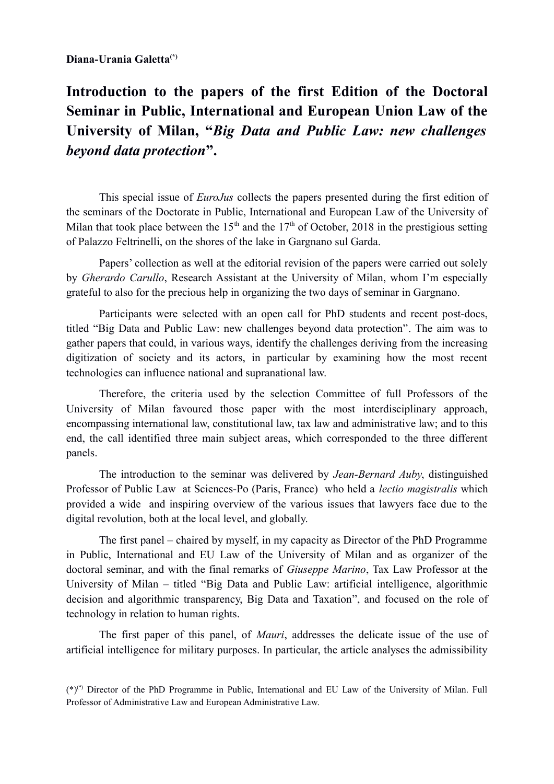## **Diana-Urania Galetta(\*)**

## **Introduction to the papers of the first Edition of the Doctoral Seminar in Public, International and European Union Law of the University of Milan, "***Big Data and Public Law: new challenges beyond data protection***".**

This special issue of *EuroJus* collects the papers presented during the first edition of the seminars of the Doctorate in Public, International and European Law of the University of Milan that took place between the 15<sup>th</sup> and the 17<sup>th</sup> of October, 2018 in the prestigious setting of Palazzo Feltrinelli, on the shores of the lake in Gargnano sul Garda.

Papers' collection as well at the editorial revision of the papers were carried out solely by *Gherardo Carullo*, Research Assistant at the University of Milan, whom I'm especially grateful to also for the precious help in organizing the two days of seminar in Gargnano.

Participants were selected with an open call for PhD students and recent post-docs, titled "Big Data and Public Law: new challenges beyond data protection". The aim was to gather papers that could, in various ways, identify the challenges deriving from the increasing digitization of society and its actors, in particular by examining how the most recent technologies can influence national and supranational law.

Therefore, the criteria used by the selection Committee of full Professors of the University of Milan favoured those paper with the most interdisciplinary approach, encompassing international law, constitutional law, tax law and administrative law; and to this end, the call identified three main subject areas, which corresponded to the three different panels.

The introduction to the seminar was delivered by *Jean-Bernard Auby*, distinguished Professor of Public Law at Sciences-Po (Paris, France) who held a *lectio magistralis* which provided a wide and inspiring overview of the various issues that lawyers face due to the digital revolution, both at the local level, and globally.

The first panel – chaired by myself, in my capacity as Director of the PhD Programme in Public, International and EU Law of the University of Milan and as organizer of the doctoral seminar, and with the final remarks of *Giuseppe Marino*, Tax Law Professor at the University of Milan – titled "Big Data and Public Law: artificial intelligence, algorithmic decision and algorithmic transparency, Big Data and Taxation", and focused on the role of technology in relation to human rights.

The first paper of this panel, of *Mauri*, addresses the delicate issue of the use of artificial intelligence for military purposes. In particular, the article analyses the admissibility

(\*)(\*) Director of the PhD Programme in Public, International and EU Law of the University of Milan. Full Professor of Administrative Law and European Administrative Law.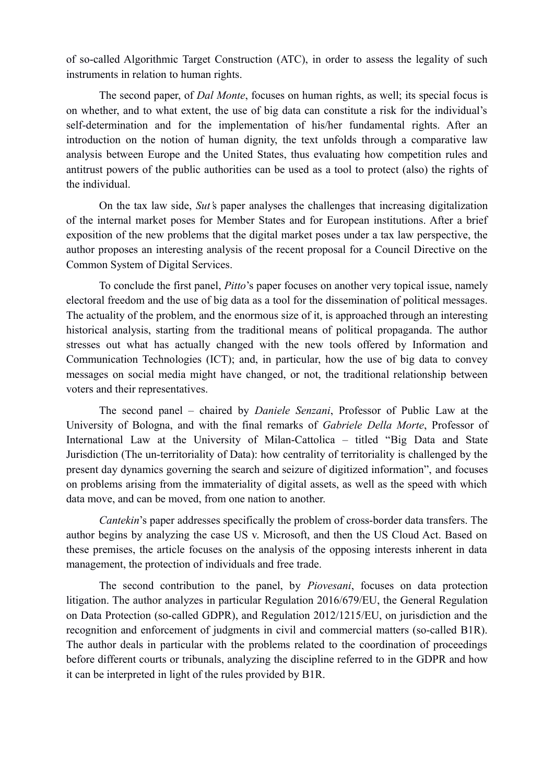of so-called Algorithmic Target Construction (ATC), in order to assess the legality of such instruments in relation to human rights.

The second paper, of *Dal Monte*, focuses on human rights, as well; its special focus is on whether, and to what extent, the use of big data can constitute a risk for the individual's self-determination and for the implementation of his/her fundamental rights. After an introduction on the notion of human dignity, the text unfolds through a comparative law analysis between Europe and the United States, thus evaluating how competition rules and antitrust powers of the public authorities can be used as a tool to protect (also) the rights of the individual.

On the tax law side, *Sut'*s paper analyses the challenges that increasing digitalization of the internal market poses for Member States and for European institutions. After a brief exposition of the new problems that the digital market poses under a tax law perspective, the author proposes an interesting analysis of the recent proposal for a Council Directive on the Common System of Digital Services.

To conclude the first panel, *Pitto*'s paper focuses on another very topical issue, namely electoral freedom and the use of big data as a tool for the dissemination of political messages. The actuality of the problem, and the enormous size of it, is approached through an interesting historical analysis, starting from the traditional means of political propaganda. The author stresses out what has actually changed with the new tools offered by Information and Communication Technologies (ICT); and, in particular, how the use of big data to convey messages on social media might have changed, or not, the traditional relationship between voters and their representatives.

The second panel – chaired by *Daniele Senzani*, Professor of Public Law at the University of Bologna, and with the final remarks of *Gabriele Della Morte*, Professor of International Law at the University of Milan-Cattolica – titled "Big Data and State Jurisdiction (The un-territoriality of Data): how centrality of territoriality is challenged by the present day dynamics governing the search and seizure of digitized information", and focuses on problems arising from the immateriality of digital assets, as well as the speed with which data move, and can be moved, from one nation to another.

*Cantekin*'s paper addresses specifically the problem of cross-border data transfers. The author begins by analyzing the case US v. Microsoft, and then the US Cloud Act. Based on these premises, the article focuses on the analysis of the opposing interests inherent in data management, the protection of individuals and free trade.

The second contribution to the panel, by *Piovesani*, focuses on data protection litigation. The author analyzes in particular Regulation 2016/679/EU, the General Regulation on Data Protection (so-called GDPR), and Regulation 2012/1215/EU, on jurisdiction and the recognition and enforcement of judgments in civil and commercial matters (so-called B1R). The author deals in particular with the problems related to the coordination of proceedings before different courts or tribunals, analyzing the discipline referred to in the GDPR and how it can be interpreted in light of the rules provided by B1R.